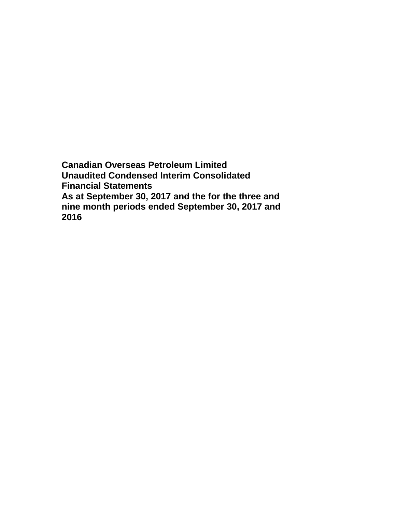**Canadian Overseas Petroleum Limited Unaudited Condensed Interim Consolidated Financial Statements As at September 30, 2017 and the for the three and nine month periods ended September 30, 2017 and 2016**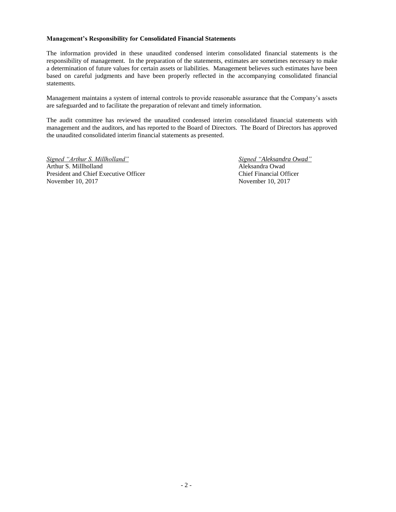#### **Management's Responsibility for Consolidated Financial Statements**

The information provided in these unaudited condensed interim consolidated financial statements is the responsibility of management. In the preparation of the statements, estimates are sometimes necessary to make a determination of future values for certain assets or liabilities. Management believes such estimates have been based on careful judgments and have been properly reflected in the accompanying consolidated financial statements.

Management maintains a system of internal controls to provide reasonable assurance that the Company's assets are safeguarded and to facilitate the preparation of relevant and timely information.

The audit committee has reviewed the unaudited condensed interim consolidated financial statements with management and the auditors, and has reported to the Board of Directors. The Board of Directors has approved the unaudited consolidated interim financial statements as presented.

*Signed "Arthur S. Millholland" Signed "Aleksandra Owad"* Arthur S. Millholland Aleksandra Owad President and Chief Executive Officer Chief Financial Officer November 10, 2017 November 10, 2017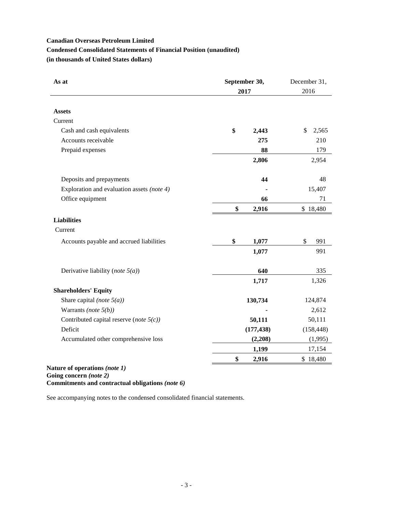# **Canadian Overseas Petroleum Limited Condensed Consolidated Statements of Financial Position (unaudited) (in thousands of United States dollars)**

| As at                                                                | September 30, | December 31, |  |
|----------------------------------------------------------------------|---------------|--------------|--|
|                                                                      | 2017          | 2016         |  |
| <b>Assets</b>                                                        |               |              |  |
| Current                                                              |               |              |  |
| Cash and cash equivalents                                            | \$<br>2,443   | \$<br>2,565  |  |
| Accounts receivable                                                  | 275           | 210          |  |
| Prepaid expenses                                                     | 88            | 179          |  |
|                                                                      | 2,806         | 2,954        |  |
|                                                                      |               |              |  |
| Deposits and prepayments                                             | 44            | 48           |  |
| Exploration and evaluation assets (note 4)                           |               | 15,407       |  |
| Office equipment                                                     | 66            | 71           |  |
|                                                                      | \$<br>2,916   | \$18,480     |  |
| <b>Liabilities</b>                                                   |               |              |  |
| Current                                                              |               |              |  |
| Accounts payable and accrued liabilities                             | \$<br>1,077   | \$<br>991    |  |
|                                                                      | 1,077         | 991          |  |
| Derivative liability (note $5(a)$ )                                  | 640           | 335          |  |
|                                                                      | 1,717         | 1,326        |  |
| <b>Shareholders' Equity</b>                                          |               |              |  |
| Share capital (note $5(a)$ )                                         | 130,734       | 124,874      |  |
| Warrants (note $5(b)$ )                                              |               | 2,612        |  |
| Contributed capital reserve (note $5(c)$ )                           | 50,111        | 50,111       |  |
| Deficit                                                              | (177, 438)    | (158, 448)   |  |
| Accumulated other comprehensive loss                                 | (2,208)       | (1,995)      |  |
|                                                                      | 1,199         | 17,154       |  |
|                                                                      | \$<br>2,916   | \$18,480     |  |
| e<br>$\mathbf{r}$ and $\mathbf{r}$ and $\mathbf{r}$ and $\mathbf{r}$ |               |              |  |

**Nature of operations** *(note 1)* **Going concern** *(note 2)* **Commitments and contractual obligations** *(note 6)*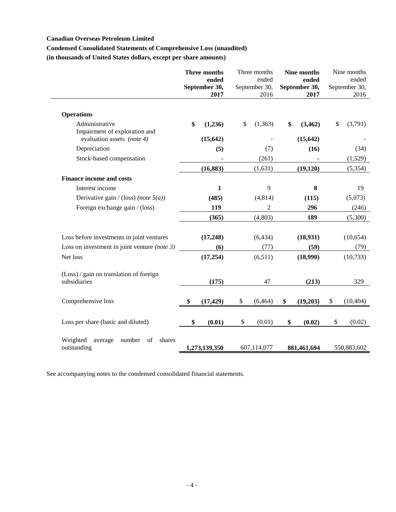# **Canadian Overseas Petroleum Limited**

# **Condensed Consolidated Statements of Comprehensive Loss (unaudited)**

**(in thousands of United States dollars, except per share amounts)**

|                                                              | Three months<br>ended<br>September 30,<br>2017 | Three months<br>ended<br>September 30,<br>2016 | <b>Nine months</b><br>ended<br>September 30,<br>2017 | Nine months<br>ended<br>September 30,<br>2016 |
|--------------------------------------------------------------|------------------------------------------------|------------------------------------------------|------------------------------------------------------|-----------------------------------------------|
| <b>Operations</b>                                            |                                                |                                                |                                                      |                                               |
| Administrative<br>Impairment of exploration and              | \$<br>(1,236)                                  | \$<br>(1,363)                                  | \$<br>(3, 462)                                       | \$<br>(3,791)                                 |
| evaluation assets (note 4)                                   | (15, 642)                                      |                                                | (15, 642)                                            |                                               |
| Depreciation                                                 | (5)                                            | (7)                                            | (16)                                                 | (34)                                          |
| Stock-based compensation                                     |                                                | (261)                                          |                                                      | (1,529)                                       |
|                                                              | (16, 883)                                      | (1,631)                                        | (19, 120)                                            | (5, 354)                                      |
| <b>Finance income and costs</b>                              |                                                |                                                |                                                      |                                               |
| Interest income                                              | 1                                              | 9                                              | 8                                                    | 19                                            |
| Derivative gain / (loss) (note $5(a)$ )                      | (485)                                          | (4,814)                                        | (115)                                                | (5,073)                                       |
| Foreign exchange gain / (loss)                               | 119                                            | $\mathfrak{2}$                                 | 296                                                  | (246)                                         |
|                                                              | (365)                                          | (4,803)                                        | 189                                                  | (5,300)                                       |
| Loss before investments in joint ventures                    | (17, 248)                                      | (6, 434)                                       | (18, 931)                                            | (10, 654)                                     |
| Loss on investment in joint venture (note $3$ )              | (6)                                            | (77)                                           | (59)                                                 | (79)                                          |
| Net loss                                                     | (17, 254)                                      | (6,511)                                        | (18,990)                                             | (10, 733)                                     |
| (Loss) / gain on translation of foreign<br>subsidiaries      | (175)                                          | 47                                             | (213)                                                | 329                                           |
| Comprehensive loss                                           | \$<br>(17, 429)                                | \$<br>(6, 464)                                 | \$<br>(19,203)                                       | \$<br>(10, 404)                               |
| Loss per share (basic and diluted)                           | \$<br>(0.01)                                   | \$<br>(0.01)                                   | \$<br>(0.02)                                         | \$<br>(0.02)                                  |
| Weighted<br>number<br>of<br>shares<br>average<br>outstanding | 1,273,139,350                                  | 607,114,077                                    | 881,461,694                                          | 550,883,602                                   |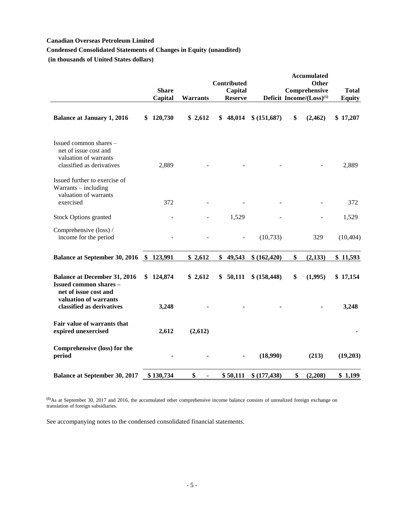# **Canadian Overseas Petroleum Limited**

# **Condensed Consolidated Statements of Changes in Equity (unaudited)**

**(in thousands of United States dollars)**

|                                                                                                       |    |              |                      | <b>Contributed</b> |               | <b>Accumulated</b><br><b>Other</b>   |               |
|-------------------------------------------------------------------------------------------------------|----|--------------|----------------------|--------------------|---------------|--------------------------------------|---------------|
|                                                                                                       |    | <b>Share</b> |                      | Capital            |               | Comprehensive                        | <b>Total</b>  |
|                                                                                                       |    | Capital      | <b>Warrants</b>      | <b>Reserve</b>     |               | Deficit Income/(Loss) <sup>(1)</sup> | <b>Equity</b> |
| <b>Balance at January 1, 2016</b>                                                                     | S  | 120,730      | \$2,612              | \$<br>48,014       | \$ (151,687)  | \$<br>(2,462)                        | \$17,207      |
| Issued common shares -<br>net of issue cost and<br>valuation of warrants<br>classified as derivatives |    | 2,889        |                      |                    |               |                                      | 2,889         |
| Issued further to exercise of<br>Warrants - including<br>valuation of warrants<br>exercised           |    | 372          |                      |                    |               |                                      | 372           |
| <b>Stock Options granted</b>                                                                          |    |              |                      | 1,529              |               |                                      | 1,529         |
| Comprehensive (loss) /<br>income for the period                                                       |    |              |                      |                    | (10, 733)     | 329                                  | (10, 404)     |
| <b>Balance at September 30, 2016</b>                                                                  |    | \$123,991    | \$2,612              | \$49,543           | \$ (162, 420) | \$<br>(2,133)                        | \$11,593      |
| <b>Balance at December 31, 2016</b><br><b>Issued common shares -</b><br>net of issue cost and         | \$ | 124,874      | \$2,612              | \$<br>50,111       | \$ (158, 448) | \$<br>(1,995)                        | \$17,154      |
| valuation of warrants<br>classified as derivatives                                                    |    | 3,248        |                      |                    |               |                                      | 3,248         |
| Fair value of warrants that<br>expired unexercised                                                    |    | 2,612        | (2,612)              |                    |               |                                      |               |
| Comprehensive (loss) for the<br>period                                                                |    |              |                      |                    | (18,990)      | (213)                                | (19,203)      |
| <b>Balance at September 30, 2017</b>                                                                  |    | \$130,734    | \$<br>$\blacksquare$ | \$50,111           | \$(177, 438)  | \$<br>(2,208)                        | \$1,199       |

**(1)**As at September 30, 2017 and 2016, the accumulated other comprehensive income balance consists of unrealized foreign exchange on translation of foreign subsidiaries.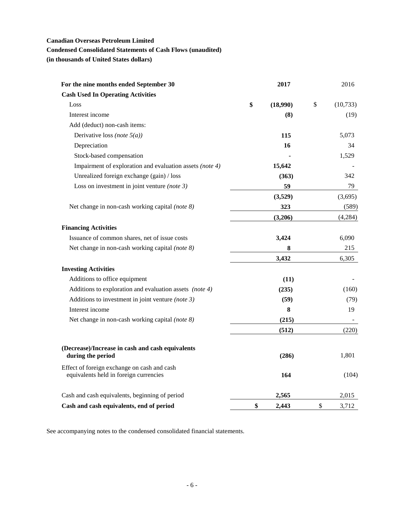# **Canadian Overseas Petroleum Limited**

# **Condensed Consolidated Statements of Cash Flows (unaudited)**

**(in thousands of United States dollars)**

| For the nine months ended September 30                                                | 2017           | 2016            |
|---------------------------------------------------------------------------------------|----------------|-----------------|
| <b>Cash Used In Operating Activities</b>                                              |                |                 |
| Loss                                                                                  | \$<br>(18,990) | \$<br>(10, 733) |
| Interest income                                                                       | (8)            | (19)            |
| Add (deduct) non-cash items:                                                          |                |                 |
| Derivative loss (note $5(a)$ )                                                        | 115            | 5,073           |
| Depreciation                                                                          | 16             | 34              |
| Stock-based compensation                                                              |                | 1,529           |
| Impairment of exploration and evaluation assets (note 4)                              | 15,642         |                 |
| Unrealized foreign exchange (gain) / loss                                             | (363)          | 342             |
| Loss on investment in joint venture (note $3$ )                                       | 59             | 79              |
|                                                                                       | (3,529)        | (3,695)         |
| Net change in non-cash working capital (note 8)                                       | 323            | (589)           |
|                                                                                       | (3,206)        | (4,284)         |
| <b>Financing Activities</b>                                                           |                |                 |
| Issuance of common shares, net of issue costs                                         | 3,424          | 6,090           |
| Net change in non-cash working capital (note 8)                                       | 8              | 215             |
|                                                                                       | 3,432          | 6,305           |
| <b>Investing Activities</b>                                                           |                |                 |
| Additions to office equipment                                                         | (11)           |                 |
| Additions to exploration and evaluation assets (note 4)                               | (235)          | (160)           |
| Additions to investment in joint venture (note $3$ )                                  | (59)           | (79)            |
| Interest income                                                                       | 8              | 19              |
| Net change in non-cash working capital (note 8)                                       | (215)          |                 |
|                                                                                       | (512)          | (220)           |
| (Decrease)/Increase in cash and cash equivalents<br>during the period                 | (286)          | 1,801           |
| Effect of foreign exchange on cash and cash<br>equivalents held in foreign currencies | 164            | (104)           |
| Cash and cash equivalents, beginning of period                                        | 2,565          | 2,015           |
| Cash and cash equivalents, end of period                                              | \$<br>2,443    | \$<br>3,712     |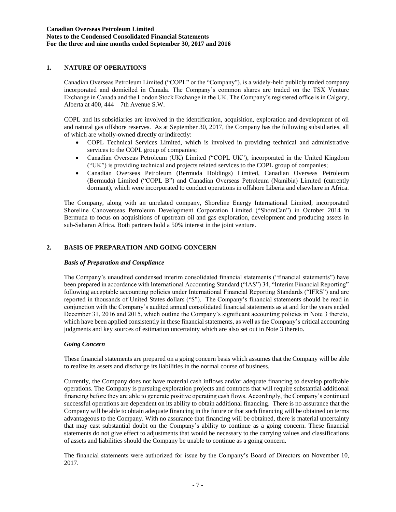## **1. NATURE OF OPERATIONS**

Canadian Overseas Petroleum Limited ("COPL" or the "Company"), is a widely-held publicly traded company incorporated and domiciled in Canada. The Company's common shares are traded on the TSX Venture Exchange in Canada and the London Stock Exchange in the UK. The Company's registered office is in Calgary, Alberta at 400, 444 – 7th Avenue S.W.

COPL and its subsidiaries are involved in the identification, acquisition, exploration and development of oil and natural gas offshore reserves. As at September 30, 2017, the Company has the following subsidiaries, all of which are wholly-owned directly or indirectly:

- COPL Technical Services Limited, which is involved in providing technical and administrative services to the COPL group of companies;
- Canadian Overseas Petroleum (UK) Limited ("COPL UK"), incorporated in the United Kingdom ("UK") is providing technical and projects related services to the COPL group of companies;
- Canadian Overseas Petroleum (Bermuda Holdings) Limited, Canadian Overseas Petroleum (Bermuda) Limited ("COPL B") and Canadian Overseas Petroleum (Namibia) Limited (currently dormant), which were incorporated to conduct operations in offshore Liberia and elsewhere in Africa.

The Company, along with an unrelated company, Shoreline Energy International Limited, incorporated Shoreline Canoverseas Petroleum Development Corporation Limited ("ShoreCan") in October 2014 in Bermuda to focus on acquisitions of upstream oil and gas exploration, development and producing assets in sub-Saharan Africa. Both partners hold a 50% interest in the joint venture.

# **2. BASIS OF PREPARATION AND GOING CONCERN**

### *Basis of Preparation and Compliance*

The Company's unaudited condensed interim consolidated financial statements ("financial statements") have been prepared in accordance with International Accounting Standard ("IAS") 34, "Interim Financial Reporting" following acceptable accounting policies under International Financial Reporting Standards ("IFRS") and are reported in thousands of United States dollars ("\$"). The Company's financial statements should be read in conjunction with the Company's audited annual consolidated financial statements as at and for the years ended December 31, 2016 and 2015, which outline the Company's significant accounting policies in Note 3 thereto, which have been applied consistently in these financial statements, as well as the Company's critical accounting judgments and key sources of estimation uncertainty which are also set out in Note 3 thereto.

### *Going Concern*

These financial statements are prepared on a going concern basis which assumes that the Company will be able to realize its assets and discharge its liabilities in the normal course of business.

Currently, the Company does not have material cash inflows and/or adequate financing to develop profitable operations. The Company is pursuing exploration projects and contracts that will require substantial additional financing before they are able to generate positive operating cash flows. Accordingly, the Company's continued successful operations are dependent on its ability to obtain additional financing. There is no assurance that the Company will be able to obtain adequate financing in the future or that such financing will be obtained on terms advantageous to the Company. With no assurance that financing will be obtained, there is material uncertainty that may cast substantial doubt on the Company's ability to continue as a going concern. These financial statements do not give effect to adjustments that would be necessary to the carrying values and classifications of assets and liabilities should the Company be unable to continue as a going concern.

The financial statements were authorized for issue by the Company's Board of Directors on November 10, 2017.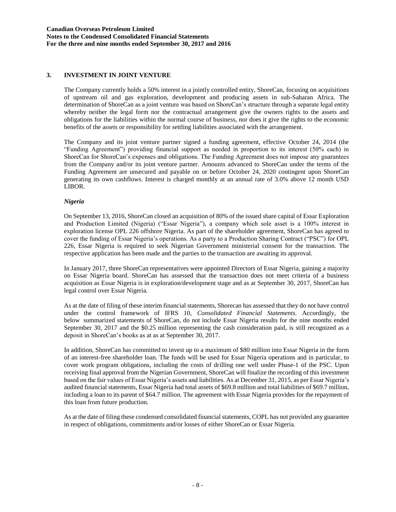# **3. INVESTMENT IN JOINT VENTURE**

The Company currently holds a 50% interest in a jointly controlled entity, ShoreCan, focusing on acquisitions of upstream oil and gas exploration, development and producing assets in sub-Saharan Africa. The determination of ShoreCan as a joint venture was based on ShoreCan's structure through a separate legal entity whereby neither the legal form nor the contractual arrangement give the owners rights to the assets and obligations for the liabilities within the normal course of business, nor does it give the rights to the economic benefits of the assets or responsibility for settling liabilities associated with the arrangement.

The Company and its joint venture partner signed a funding agreement, effective October 24, 2014 (the "Funding Agreement") providing financial support as needed in proportion to its interest (50% each) in ShoreCan for ShoreCan's expenses and obligations. The Funding Agreement does not impose any guarantees from the Company and/or its joint venture partner. Amounts advanced to ShoreCan under the terms of the Funding Agreement are unsecured and payable on or before October 24, 2020 contingent upon ShoreCan generating its own cashflows. Interest is charged monthly at an annual rate of 3.0% above 12 month USD LIBOR.

#### *Nigeria*

On September 13, 2016, ShoreCan closed an acquisition of 80% of the issued share capital of Essar Exploration and Production Limited (Nigeria) ("Essar Nigeria"), a company which sole asset is a 100% interest in exploration license OPL 226 offshore Nigeria. As part of the shareholder agreement, ShoreCan has agreed to cover the funding of Essar Nigeria's operations. As a party to a Production Sharing Contract ("PSC") for OPL 226, Essar Nigeria is required to seek Nigerian Government ministerial consent for the transaction. The respective application has been made and the parties to the transaction are awaiting its approval.

In January 2017, three ShoreCan representatives were appointed Directors of Essar Nigeria, gaining a majority on Essar Nigeria board. ShoreCan has assessed that the transaction does not meet criteria of a business acquisition as Essar Nigeria is in exploration/development stage and as at September 30, 2017, ShoreCan has legal control over Essar Nigeria.

As at the date of filing of these interim financial statements, Shorecan has assessed that they do not have control under the control framework of IFRS 10, *Consolidated Financial Statements*. Accordingly, the below summarized statements of ShoreCan, do not include Essar Nigeria results for the nine months ended September 30, 2017 and the \$0.25 million representing the cash consideration paid, is still recognized as a deposit in ShoreCan's books as at as at September 30, 2017.

In addition, ShoreCan has committed to invest up to a maximum of \$80 million into Essar Nigeria in the form of an interest-free shareholder loan. The funds will be used for Essar Nigeria operations and in particular, to cover work program obligations, including the costs of drilling one well under Phase-1 of the PSC. Upon receiving final approval from the Nigerian Government, ShoreCan will finalize the recording of this investment based on the fair values of Essar Nigeria's assets and liabilities. As at December 31, 2015, as per Essar Nigeria's audited financial statements, Essar Nigeria had total assets of \$69.8 million and total liabilities of \$69.7 million, including a loan to its parent of \$64.7 million. The agreement with Essar Nigeria provides for the repayment of this loan from future production.

As at the date of filing these condensed consolidated financial statements, COPL has not provided any guarantee in respect of obligations, commitments and/or losses of either ShoreCan or Essar Nigeria.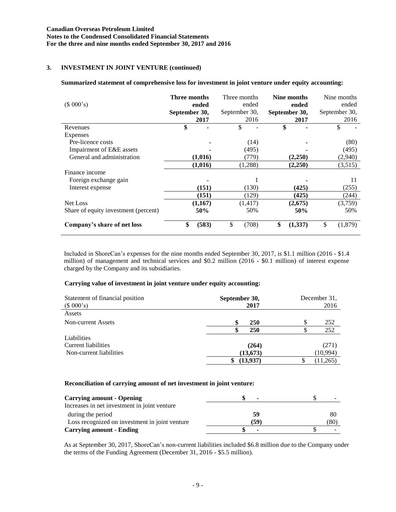# **3. INVESTMENT IN JOINT VENTURE (continued)**

#### **Summarized statement of comprehensive loss for investment in joint venture under equity accounting:**

| (\$000's)                            | Three months<br>September 30, | ended<br>2017 | Three months<br>September 30, | ended<br>2016 | September 30, | Nine months<br>ended<br>2017 | Nine months<br>ended<br>September 30,<br>2016 |
|--------------------------------------|-------------------------------|---------------|-------------------------------|---------------|---------------|------------------------------|-----------------------------------------------|
| Revenues                             | \$                            |               | \$                            |               | \$            |                              |                                               |
| Expenses                             |                               |               |                               |               |               |                              |                                               |
| Pre-licence costs                    |                               |               |                               | (14)          |               |                              | (80)                                          |
| Impairment of E&E assets             |                               |               |                               | (495)         |               |                              | (495)                                         |
| General and administration           |                               | (1,016)       |                               | (779)         |               | (2,250)                      | (2,940)                                       |
|                                      |                               | (1,016)       |                               | (1,288)       |               | (2,250)                      | (3,515)                                       |
| Finance income                       |                               |               |                               |               |               |                              |                                               |
| Foreign exchange gain                |                               |               |                               |               |               |                              | 11                                            |
| Interest expense                     |                               | (151)         |                               | (130)         |               | (425)                        | (255)                                         |
|                                      |                               | (151)         |                               | (129)         |               | (425)                        | (244)                                         |
| Net Loss                             |                               | (1,167)       |                               | (1, 417)      |               | (2,675)                      | (3,759)                                       |
| Share of equity investment (percent) |                               | 50%           |                               | 50%           |               | 50%                          | 50%                                           |
| Company's share of net loss          | \$                            | (583)         | \$                            | (708)         | \$            | (1,337)                      | \$<br>(1,879)                                 |

Included in ShoreCan's expenses for the nine months ended September 30, 2017, is \$1.1 million (2016 - \$1.4 million) of management and technical services and \$0.2 million (2016 - \$0.1 million) of interest expense charged by the Company and its subsidiaries.

#### **Carrying value of investment in joint venture under equity accounting:**

| Statement of financial position<br>(\$000's) | September 30,<br>2017 | December 31.<br>2016 |  |  |
|----------------------------------------------|-----------------------|----------------------|--|--|
| Assets                                       |                       |                      |  |  |
| <b>Non-current Assets</b>                    | \$<br><b>250</b>      | 252                  |  |  |
|                                              | <b>250</b>            | 252                  |  |  |
| Liabilities                                  |                       |                      |  |  |
| Current liabilities                          | (264)                 | (271)                |  |  |
| Non-current liabilities                      | (13, 673)             | (10,994)             |  |  |
|                                              | (13,937)<br>\$        | (11,265)<br>D        |  |  |

#### **Reconciliation of carrying amount of net investment in joint venture:**

| <b>Carrying amount - Opening</b>               | ۰                        |      |
|------------------------------------------------|--------------------------|------|
| Increases in net investment in joint venture   |                          |      |
| during the period                              | 59                       | 80   |
| Loss recognized on investment in joint venture | (59)                     | (80) |
| <b>Carrying amount - Ending</b>                | $\overline{\phantom{a}}$ |      |

As at September 30, 2017, ShoreCan's non-current liabilities included \$6.8 million due to the Company under the terms of the Funding Agreement (December 31, 2016 - \$5.5 million).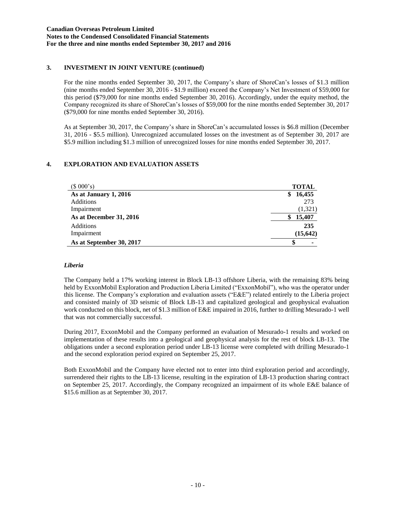# **3. INVESTMENT IN JOINT VENTURE (continued)**

For the nine months ended September 30, 2017, the Company's share of ShoreCan's losses of \$1.3 million (nine months ended September 30, 2016 - \$1.9 million) exceed the Company's Net Investment of \$59,000 for this period (\$79,000 for nine months ended September 30, 2016). Accordingly, under the equity method, the Company recognized its share of ShoreCan's losses of \$59,000 for the nine months ended September 30, 2017 (\$79,000 for nine months ended September 30, 2016).

As at September 30, 2017, the Company's share in ShoreCan's accumulated losses is \$6.8 million (December 31, 2016 - \$5.5 million). Unrecognized accumulated losses on the investment as of September 30, 2017 are \$5.9 million including \$1.3 million of unrecognized losses for nine months ended September 30, 2017.

# **4. EXPLORATION AND EVALUATION ASSETS**

| (\$000's)                | <b>TOTAL</b> |
|--------------------------|--------------|
| As at January 1, 2016    | 16,455<br>\$ |
| Additions                | 273          |
| Impairment               | (1,321)      |
| As at December 31, 2016  | 15,407<br>\$ |
| Additions                | 235          |
| Impairment               | (15, 642)    |
| As at September 30, 2017 |              |

# *Liberia*

The Company held a 17% working interest in Block LB-13 offshore Liberia, with the remaining 83% being held by ExxonMobil Exploration and Production Liberia Limited ("ExxonMobil"), who was the operator under this license. The Company's exploration and evaluation assets ("E&E") related entirely to the Liberia project and consisted mainly of 3D seismic of Block LB-13 and capitalized geological and geophysical evaluation work conducted on this block, net of \$1.3 million of E&E impaired in 2016, further to drilling Mesurado-1 well that was not commercially successful.

During 2017, ExxonMobil and the Company performed an evaluation of Mesurado-1 results and worked on implementation of these results into a geological and geophysical analysis for the rest of block LB-13. The obligations under a second exploration period under LB-13 license were completed with drilling Mesurado-1 and the second exploration period expired on September 25, 2017.

Both ExxonMobil and the Company have elected not to enter into third exploration period and accordingly, surrendered their rights to the LB-13 license, resulting in the expiration of LB-13 production sharing contract on September 25, 2017. Accordingly, the Company recognized an impairment of its whole E&E balance of \$15.6 million as at September 30, 2017.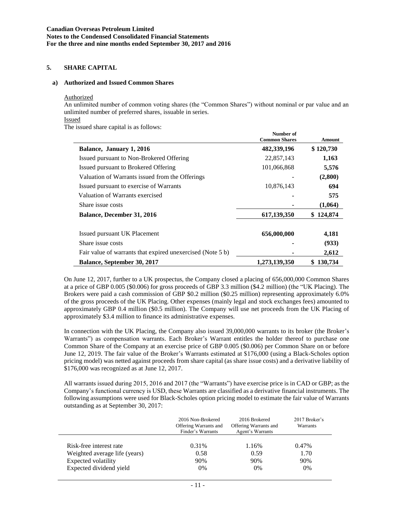## **5. SHARE CAPITAL**

#### **a) Authorized and Issued Common Shares**

#### Authorized

An unlimited number of common voting shares (the "Common Shares") without nominal or par value and an unlimited number of preferred shares, issuable in series. Issued

**Number of**

The issued share capital is as follows:

|                                                            | Aumber of            |               |
|------------------------------------------------------------|----------------------|---------------|
|                                                            | <b>Common Shares</b> | <b>Amount</b> |
| Balance, January 1, 2016                                   | 482,339,196          | \$120,730     |
| Issued pursuant to Non-Brokered Offering                   | 22,857,143           | 1,163         |
| Issued pursuant to Brokered Offering                       | 101,066,868          | 5,576         |
| Valuation of Warrants issued from the Offerings            |                      | (2,800)       |
| Issued pursuant to exercise of Warrants                    | 10,876,143           | 694           |
| Valuation of Warrants exercised                            |                      | 575           |
| Share issue costs                                          |                      | (1,064)       |
| <b>Balance, December 31, 2016</b>                          | 617,139,350          | \$124,874     |
| Issued pursuant UK Placement                               | 656,000,000          | 4,181         |
| Share issue costs                                          |                      | (933)         |
| Fair value of warrants that expired unexercised (Note 5 b) |                      | 2,612         |
| <b>Balance, September 30, 2017</b>                         | 1,273,139,350        | 130,734<br>\$ |

On June 12, 2017, further to a UK prospectus, the Company closed a placing of 656,000,000 Common Shares at a price of GBP 0.005 (\$0.006) for gross proceeds of GBP 3.3 million (\$4.2 million) (the "UK Placing). The Brokers were paid a cash commission of GBP \$0.2 million (\$0.25 million) representing approximately 6.0% of the gross proceeds of the UK Placing. Other expenses (mainly legal and stock exchanges fees) amounted to approximately GBP 0.4 million (\$0.5 million). The Company will use net proceeds from the UK Placing of approximately \$3.4 million to finance its administrative expenses.

In connection with the UK Placing, the Company also issued 39,000,000 warrants to its broker (the Broker's Warrants") as compensation warrants. Each Broker's Warrant entitles the holder thereof to purchase one Common Share of the Company at an exercise price of GBP 0.005 (\$0.006) per Common Share on or before June 12, 2019. The fair value of the Broker's Warrants estimated at \$176,000 (using a Black-Scholes option pricing model) was netted against proceeds from share capital (as share issue costs) and a derivative liability of \$176,000 was recognized as at June 12, 2017.

All warrants issued during 2015, 2016 and 2017 (the "Warrants") have exercise price is in CAD or GBP; as the Company's functional currency is USD, these Warrants are classified as a derivative financial instruments. The following assumptions were used for Black-Scholes option pricing model to estimate the fair value of Warrants outstanding as at September 30, 2017:

|                               | 2016 Non-Brokered<br>Offering Warrants and<br>Finder's Warrants | 2016 Brokered<br>Offering Warrants and<br>Agent's Warrants | 2017 Broker's<br>Warrants |
|-------------------------------|-----------------------------------------------------------------|------------------------------------------------------------|---------------------------|
| Risk-free interest rate       | 0.31%                                                           | 1.16%                                                      | 0.47%                     |
| Weighted average life (years) | 0.58                                                            | 0.59                                                       | 1.70                      |
| Expected volatility           | 90%                                                             | 90%                                                        | 90%                       |
| Expected dividend yield       | 0%                                                              | $0\%$                                                      | $0\%$                     |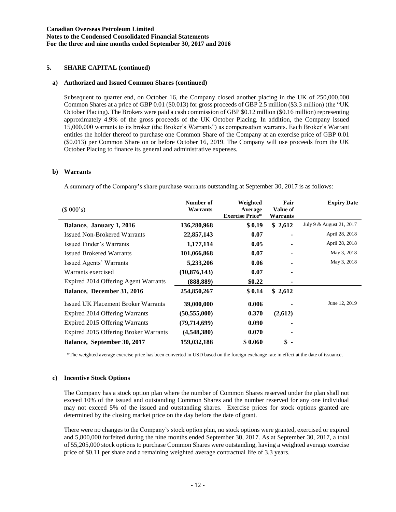## **5. SHARE CAPITAL (continued)**

### **a) Authorized and Issued Common Shares (continued)**

Subsequent to quarter end, on October 16, the Company closed another placing in the UK of 250,000,000 Common Shares at a price of GBP 0.01 (\$0.013) for gross proceeds of GBP 2.5 million (\$3.3 million) (the "UK October Placing). The Brokers were paid a cash commission of GBP \$0.12 million (\$0.16 million) representing approximately 4.9% of the gross proceeds of the UK October Placing. In addition, the Company issued 15,000,000 warrants to its broker (the Broker's Warrants") as compensation warrants. Each Broker's Warrant entitles the holder thereof to purchase one Common Share of the Company at an exercise price of GBP 0.01 (\$0.013) per Common Share on or before October 16, 2019. The Company will use proceeds from the UK October Placing to finance its general and administrative expenses.

### **b) Warrants**

A summary of the Company's share purchase warrants outstanding at September 30, 2017 is as follows:

| (\$000's)                                  | Number of<br><b>Warrants</b> | Weighted<br>Average<br><b>Exercise Price*</b> | Fair<br><b>Value of</b><br>Warrants | <b>Expiry Date</b>       |
|--------------------------------------------|------------------------------|-----------------------------------------------|-------------------------------------|--------------------------|
| Balance, January 1, 2016                   | 136,280,968                  | \$0.19                                        | \$2,612                             | July 9 & August 21, 2017 |
| <b>Issued Non-Brokered Warrants</b>        | 22,857,143                   | 0.07                                          |                                     | April 28, 2018           |
| Issued Finder's Warrants                   | 1,177,114                    | 0.05                                          |                                     | April 28, 2018           |
| <b>Issued Brokered Warrants</b>            | 101,066,868                  | 0.07                                          |                                     | May 3, 2018              |
| Issued Agents' Warrants                    | 5,233,206                    | 0.06                                          |                                     | May 3, 2018              |
| Warrants exercised                         | (10,876,143)                 | 0.07                                          | ۰                                   |                          |
| Expired 2014 Offering Agent Warrants       | (888,889)                    | \$0.22                                        |                                     |                          |
| Balance, December 31, 2016                 | 254,850,267                  | \$0.14                                        | \$2,612                             |                          |
| <b>Issued UK Placement Broker Warrants</b> | 39,000,000                   | 0.006                                         |                                     | June 12, 2019            |
| Expired 2014 Offering Warrants             | (50, 555, 000)               | 0.370                                         | (2,612)                             |                          |
| Expired 2015 Offering Warrants             | (79,714,699)                 | 0.090                                         |                                     |                          |
| Expired 2015 Offering Broker Warrants      | (4,548,380)                  | 0.070                                         |                                     |                          |
| <b>Balance, September 30, 2017</b>         | 159,032,188                  | \$0.060                                       | \$<br>$\overline{\phantom{a}}$      |                          |

\*The weighted average exercise price has been converted in USD based on the foreign exchange rate in effect at the date of issuance.

#### **c) Incentive Stock Options**

The Company has a stock option plan where the number of Common Shares reserved under the plan shall not exceed 10% of the issued and outstanding Common Shares and the number reserved for any one individual may not exceed 5% of the issued and outstanding shares. Exercise prices for stock options granted are determined by the closing market price on the day before the date of grant.

There were no changes to the Company's stock option plan, no stock options were granted, exercised or expired and 5,800,000 forfeited during the nine months ended September 30, 2017. As at September 30, 2017, a total of 55,205,000 stock options to purchase Common Shares were outstanding, having a weighted average exercise price of \$0.11 per share and a remaining weighted average contractual life of 3.3 years.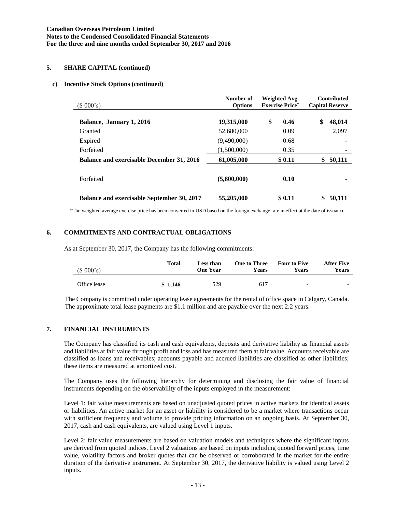### **5. SHARE CAPITAL (continued)**

#### **c) Incentive Stock Options (continued)**

| (\$000's)                                        | Number of<br><b>Options</b> | Weighted Avg.<br><b>Exercise Price*</b> | <b>Contributed</b><br><b>Capital Reserve</b> |
|--------------------------------------------------|-----------------------------|-----------------------------------------|----------------------------------------------|
| Balance, January 1, 2016                         | 19,315,000                  | \$<br>0.46                              | \$<br>48,014                                 |
| Granted                                          | 52,680,000                  | 0.09                                    | 2,097                                        |
| Expired                                          | (9,490,000)                 | 0.68                                    |                                              |
| Forfeited                                        | (1,500,000)                 | 0.35                                    |                                              |
| <b>Balance and exercisable December 31, 2016</b> | 61,005,000                  | \$0.11                                  | 50,111<br>\$                                 |
| Forfeited                                        | (5,800,000)                 | 0.10                                    |                                              |
| Balance and exercisable September 30, 2017       | 55,205,000                  | \$0.11                                  | 50,111                                       |

\*The weighted average exercise price has been converted in USD based on the foreign exchange rate in effect at the date of issuance.

### **6. COMMITMENTS AND CONTRACTUAL OBLIGATIONS**

As at September 30, 2017, the Company has the following commitments:

| (\$000's)    | <b>Total</b> | <b>Less than</b><br>One Year | <b>One to Three</b><br><b>Years</b> | <b>Four to Five</b><br>Years | <b>After Five</b><br>Years |
|--------------|--------------|------------------------------|-------------------------------------|------------------------------|----------------------------|
| Office lease | \$1.146      | 529                          | 617                                 | $\overline{\phantom{0}}$     | $\overline{\phantom{0}}$   |

The Company is committed under operating lease agreements for the rental of office space in Calgary, Canada. The approximate total lease payments are \$1.1 million and are payable over the next 2.2 years.

### **7. FINANCIAL INSTRUMENTS**

The Company has classified its cash and cash equivalents, deposits and derivative liability as financial assets and liabilities at fair value through profit and loss and has measured them at fair value. Accounts receivable are classified as loans and receivables; accounts payable and accrued liabilities are classified as other liabilities; these items are measured at amortized cost.

The Company uses the following hierarchy for determining and disclosing the fair value of financial instruments depending on the observability of the inputs employed in the measurement:

Level 1: fair value measurements are based on unadjusted quoted prices in active markets for identical assets or liabilities. An active market for an asset or liability is considered to be a market where transactions occur with sufficient frequency and volume to provide pricing information on an ongoing basis. At September 30, 2017, cash and cash equivalents, are valued using Level 1 inputs.

Level 2: fair value measurements are based on valuation models and techniques where the significant inputs are derived from quoted indices. Level 2 valuations are based on inputs including quoted forward prices, time value, volatility factors and broker quotes that can be observed or corroborated in the market for the entire duration of the derivative instrument. At September 30, 2017, the derivative liability is valued using Level 2 inputs.